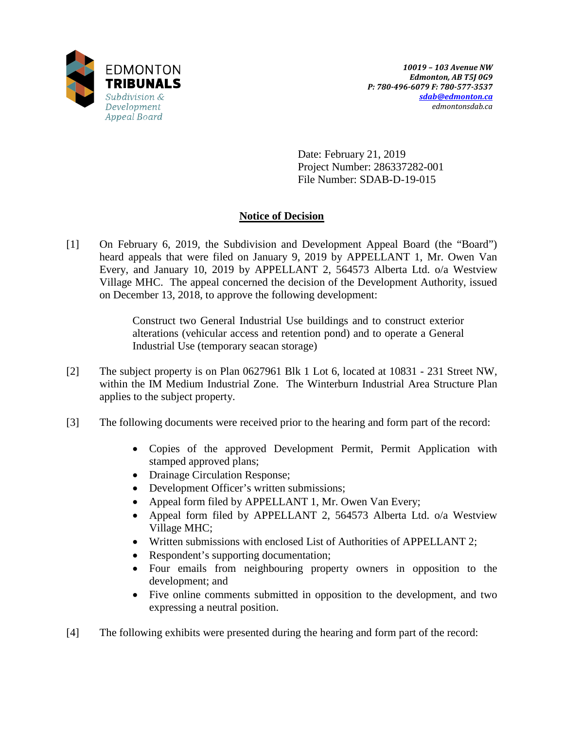

Date: February 21, 2019 Project Number: 286337282-001 File Number: SDAB-D-19-015

# **Notice of Decision**

[1] On February 6, 2019, the Subdivision and Development Appeal Board (the "Board") heard appeals that were filed on January 9, 2019 by APPELLANT 1, Mr. Owen Van Every, and January 10, 2019 by APPELLANT 2, 564573 Alberta Ltd. o/a Westview Village MHC. The appeal concerned the decision of the Development Authority, issued on December 13, 2018, to approve the following development:

> Construct two General Industrial Use buildings and to construct exterior alterations (vehicular access and retention pond) and to operate a General Industrial Use (temporary seacan storage)

- [2] The subject property is on Plan 0627961 Blk 1 Lot 6, located at 10831 231 Street NW, within the IM Medium Industrial Zone. The Winterburn Industrial Area Structure Plan applies to the subject property.
- [3] The following documents were received prior to the hearing and form part of the record:
	- Copies of the approved Development Permit, Permit Application with stamped approved plans;
	- Drainage Circulation Response;
	- Development Officer's written submissions;
	- Appeal form filed by APPELLANT 1, Mr. Owen Van Every;
	- Appeal form filed by APPELLANT 2, 564573 Alberta Ltd. o/a Westview Village MHC;
	- Written submissions with enclosed List of Authorities of APPELLANT 2;
	- Respondent's supporting documentation;
	- Four emails from neighbouring property owners in opposition to the development; and
	- Five online comments submitted in opposition to the development, and two expressing a neutral position.
- [4] The following exhibits were presented during the hearing and form part of the record: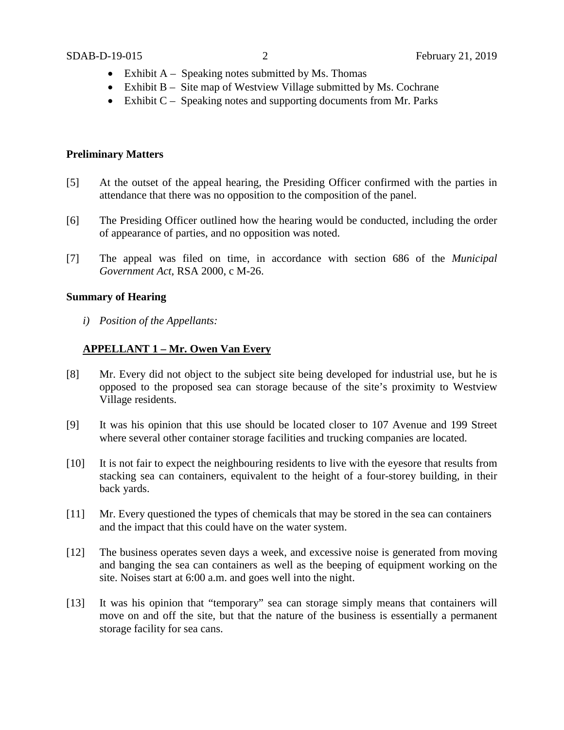- Exhibit  $A -$  Speaking notes submitted by Ms. Thomas
- Exhibit B Site map of Westview Village submitted by Ms. Cochrane
- Exhibit  $C -$  Speaking notes and supporting documents from Mr. Parks

### **Preliminary Matters**

- [5] At the outset of the appeal hearing, the Presiding Officer confirmed with the parties in attendance that there was no opposition to the composition of the panel.
- [6] The Presiding Officer outlined how the hearing would be conducted, including the order of appearance of parties, and no opposition was noted.
- [7] The appeal was filed on time, in accordance with section 686 of the *Municipal Government Act*, RSA 2000, c M-26.

## **Summary of Hearing**

*i) Position of the Appellants:*

## **APPELLANT 1 – Mr. Owen Van Every**

- [8] Mr. Every did not object to the subject site being developed for industrial use, but he is opposed to the proposed sea can storage because of the site's proximity to Westview Village residents.
- [9] It was his opinion that this use should be located closer to 107 Avenue and 199 Street where several other container storage facilities and trucking companies are located.
- [10] It is not fair to expect the neighbouring residents to live with the eyesore that results from stacking sea can containers, equivalent to the height of a four-storey building, in their back yards.
- [11] Mr. Every questioned the types of chemicals that may be stored in the sea can containers and the impact that this could have on the water system.
- [12] The business operates seven days a week, and excessive noise is generated from moving and banging the sea can containers as well as the beeping of equipment working on the site. Noises start at 6:00 a.m. and goes well into the night.
- [13] It was his opinion that "temporary" sea can storage simply means that containers will move on and off the site, but that the nature of the business is essentially a permanent storage facility for sea cans.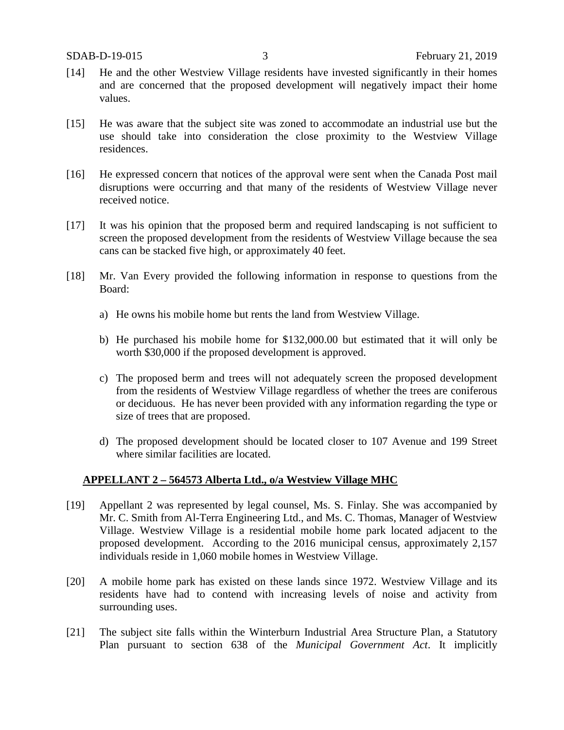- [14] He and the other Westview Village residents have invested significantly in their homes and are concerned that the proposed development will negatively impact their home values.
- [15] He was aware that the subject site was zoned to accommodate an industrial use but the use should take into consideration the close proximity to the Westview Village residences.
- [16] He expressed concern that notices of the approval were sent when the Canada Post mail disruptions were occurring and that many of the residents of Westview Village never received notice.
- [17] It was his opinion that the proposed berm and required landscaping is not sufficient to screen the proposed development from the residents of Westview Village because the sea cans can be stacked five high, or approximately 40 feet.
- [18] Mr. Van Every provided the following information in response to questions from the Board:
	- a) He owns his mobile home but rents the land from Westview Village.
	- b) He purchased his mobile home for \$132,000.00 but estimated that it will only be worth \$30,000 if the proposed development is approved.
	- c) The proposed berm and trees will not adequately screen the proposed development from the residents of Westview Village regardless of whether the trees are coniferous or deciduous. He has never been provided with any information regarding the type or size of trees that are proposed.
	- d) The proposed development should be located closer to 107 Avenue and 199 Street where similar facilities are located.

## **APPELLANT 2 – 564573 Alberta Ltd., o/a Westview Village MHC**

- [19] Appellant 2 was represented by legal counsel, Ms. S. Finlay. She was accompanied by Mr. C. Smith from Al-Terra Engineering Ltd., and Ms. C. Thomas, Manager of Westview Village. Westview Village is a residential mobile home park located adjacent to the proposed development. According to the 2016 municipal census, approximately 2,157 individuals reside in 1,060 mobile homes in Westview Village.
- [20] A mobile home park has existed on these lands since 1972. Westview Village and its residents have had to contend with increasing levels of noise and activity from surrounding uses.
- [21] The subject site falls within the Winterburn Industrial Area Structure Plan, a Statutory Plan pursuant to section 638 of the *Municipal Government Act*. It implicitly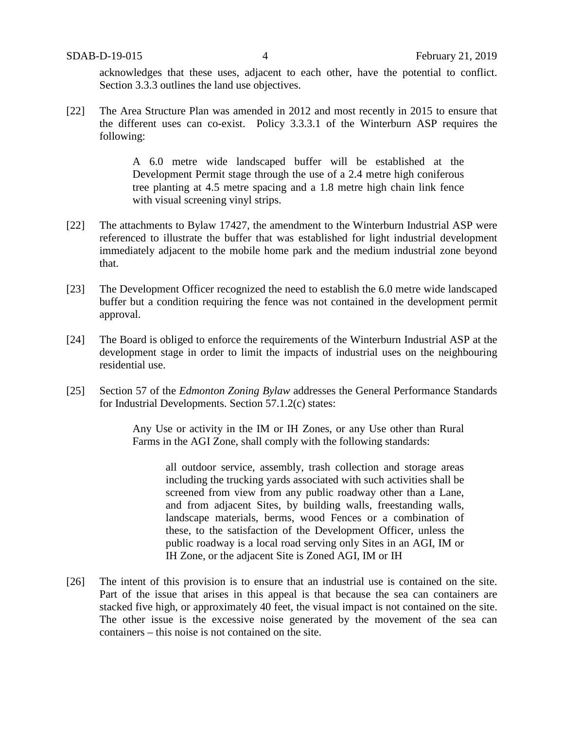acknowledges that these uses, adjacent to each other, have the potential to conflict. Section 3.3.3 outlines the land use objectives.

[22] The Area Structure Plan was amended in 2012 and most recently in 2015 to ensure that the different uses can co-exist. Policy 3.3.3.1 of the Winterburn ASP requires the following:

> A 6.0 metre wide landscaped buffer will be established at the Development Permit stage through the use of a 2.4 metre high coniferous tree planting at 4.5 metre spacing and a 1.8 metre high chain link fence with visual screening vinyl strips.

- [22] The attachments to Bylaw 17427, the amendment to the Winterburn Industrial ASP were referenced to illustrate the buffer that was established for light industrial development immediately adjacent to the mobile home park and the medium industrial zone beyond that.
- [23] The Development Officer recognized the need to establish the 6.0 metre wide landscaped buffer but a condition requiring the fence was not contained in the development permit approval.
- [24] The Board is obliged to enforce the requirements of the Winterburn Industrial ASP at the development stage in order to limit the impacts of industrial uses on the neighbouring residential use.
- [25] Section 57 of the *Edmonton Zoning Bylaw* addresses the General Performance Standards for Industrial Developments. Section 57.1.2(c) states:

Any Use or activity in the IM or IH Zones, or any Use other than Rural Farms in the AGI Zone, shall comply with the following standards:

all outdoor service, assembly, trash collection and storage areas including the trucking yards associated with such activities shall be screened from view from any public roadway other than a Lane, and from adjacent Sites, by building walls, freestanding walls, landscape materials, berms, wood Fences or a combination of these, to the satisfaction of the Development Officer, unless the public roadway is a local road serving only Sites in an AGI, IM or IH Zone, or the adjacent Site is Zoned AGI, IM or IH

[26] The intent of this provision is to ensure that an industrial use is contained on the site. Part of the issue that arises in this appeal is that because the sea can containers are stacked five high, or approximately 40 feet, the visual impact is not contained on the site. The other issue is the excessive noise generated by the movement of the sea can containers – this noise is not contained on the site.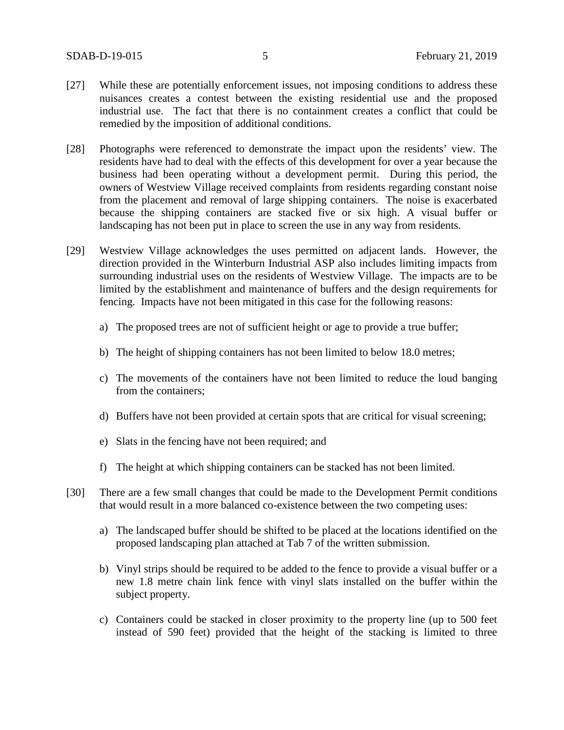- [27] While these are potentially enforcement issues, not imposing conditions to address these nuisances creates a contest between the existing residential use and the proposed industrial use. The fact that there is no containment creates a conflict that could be remedied by the imposition of additional conditions.
- [28] Photographs were referenced to demonstrate the impact upon the residents' view. The residents have had to deal with the effects of this development for over a year because the business had been operating without a development permit. During this period, the owners of Westview Village received complaints from residents regarding constant noise from the placement and removal of large shipping containers. The noise is exacerbated because the shipping containers are stacked five or six high. A visual buffer or landscaping has not been put in place to screen the use in any way from residents.
- [29] Westview Village acknowledges the uses permitted on adjacent lands. However, the direction provided in the Winterburn Industrial ASP also includes limiting impacts from surrounding industrial uses on the residents of Westview Village. The impacts are to be limited by the establishment and maintenance of buffers and the design requirements for fencing. Impacts have not been mitigated in this case for the following reasons:
	- a) The proposed trees are not of sufficient height or age to provide a true buffer;
	- b) The height of shipping containers has not been limited to below 18.0 metres;
	- c) The movements of the containers have not been limited to reduce the loud banging from the containers;
	- d) Buffers have not been provided at certain spots that are critical for visual screening;
	- e) Slats in the fencing have not been required; and
	- f) The height at which shipping containers can be stacked has not been limited.
- [30] There are a few small changes that could be made to the Development Permit conditions that would result in a more balanced co-existence between the two competing uses:
	- a) The landscaped buffer should be shifted to be placed at the locations identified on the proposed landscaping plan attached at Tab 7 of the written submission.
	- b) Vinyl strips should be required to be added to the fence to provide a visual buffer or a new 1.8 metre chain link fence with vinyl slats installed on the buffer within the subject property.
	- c) Containers could be stacked in closer proximity to the property line (up to 500 feet instead of 590 feet) provided that the height of the stacking is limited to three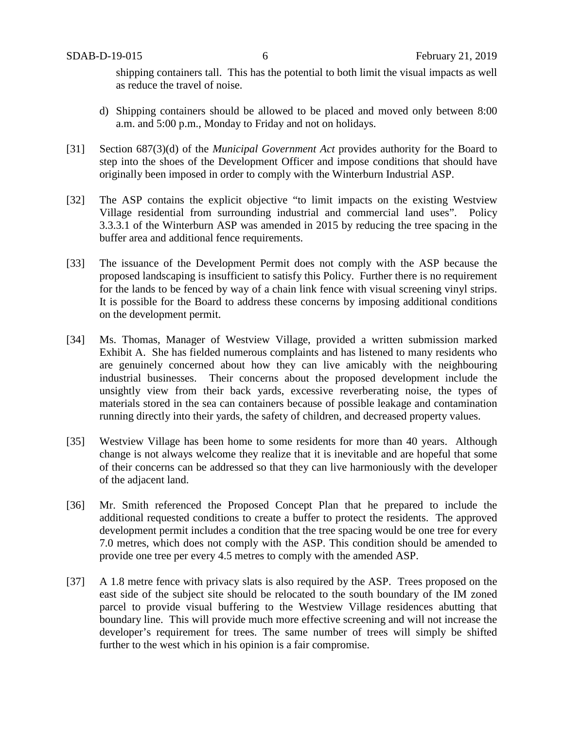shipping containers tall. This has the potential to both limit the visual impacts as well as reduce the travel of noise.

- d) Shipping containers should be allowed to be placed and moved only between 8:00 a.m. and 5:00 p.m., Monday to Friday and not on holidays.
- [31] Section 687(3)(d) of the *Municipal Government Act* provides authority for the Board to step into the shoes of the Development Officer and impose conditions that should have originally been imposed in order to comply with the Winterburn Industrial ASP.
- [32] The ASP contains the explicit objective "to limit impacts on the existing Westview Village residential from surrounding industrial and commercial land uses". Policy 3.3.3.1 of the Winterburn ASP was amended in 2015 by reducing the tree spacing in the buffer area and additional fence requirements.
- [33] The issuance of the Development Permit does not comply with the ASP because the proposed landscaping is insufficient to satisfy this Policy. Further there is no requirement for the lands to be fenced by way of a chain link fence with visual screening vinyl strips. It is possible for the Board to address these concerns by imposing additional conditions on the development permit.
- [34] Ms. Thomas, Manager of Westview Village, provided a written submission marked Exhibit A. She has fielded numerous complaints and has listened to many residents who are genuinely concerned about how they can live amicably with the neighbouring industrial businesses. Their concerns about the proposed development include the unsightly view from their back yards, excessive reverberating noise, the types of materials stored in the sea can containers because of possible leakage and contamination running directly into their yards, the safety of children, and decreased property values.
- [35] Westview Village has been home to some residents for more than 40 years. Although change is not always welcome they realize that it is inevitable and are hopeful that some of their concerns can be addressed so that they can live harmoniously with the developer of the adjacent land.
- [36] Mr. Smith referenced the Proposed Concept Plan that he prepared to include the additional requested conditions to create a buffer to protect the residents. The approved development permit includes a condition that the tree spacing would be one tree for every 7.0 metres, which does not comply with the ASP. This condition should be amended to provide one tree per every 4.5 metres to comply with the amended ASP.
- [37] A 1.8 metre fence with privacy slats is also required by the ASP. Trees proposed on the east side of the subject site should be relocated to the south boundary of the IM zoned parcel to provide visual buffering to the Westview Village residences abutting that boundary line. This will provide much more effective screening and will not increase the developer's requirement for trees. The same number of trees will simply be shifted further to the west which in his opinion is a fair compromise.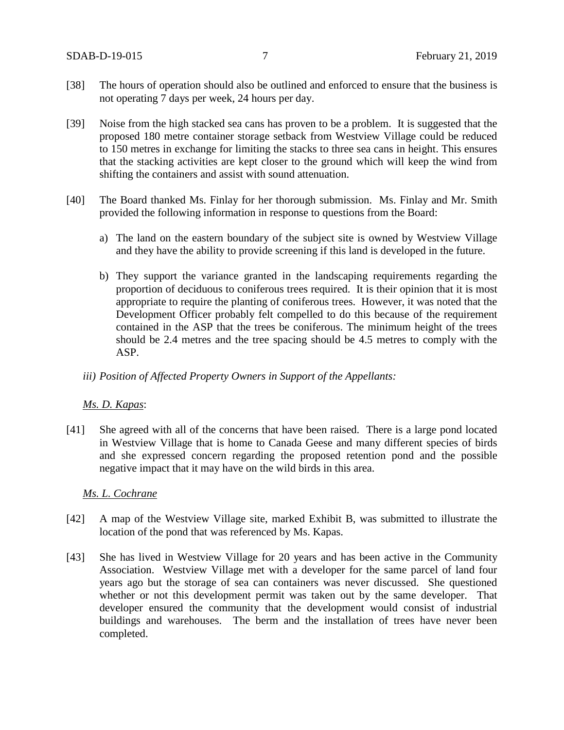- [38] The hours of operation should also be outlined and enforced to ensure that the business is not operating 7 days per week, 24 hours per day.
- [39] Noise from the high stacked sea cans has proven to be a problem. It is suggested that the proposed 180 metre container storage setback from Westview Village could be reduced to 150 metres in exchange for limiting the stacks to three sea cans in height. This ensures that the stacking activities are kept closer to the ground which will keep the wind from shifting the containers and assist with sound attenuation.
- [40] The Board thanked Ms. Finlay for her thorough submission. Ms. Finlay and Mr. Smith provided the following information in response to questions from the Board:
	- a) The land on the eastern boundary of the subject site is owned by Westview Village and they have the ability to provide screening if this land is developed in the future.
	- b) They support the variance granted in the landscaping requirements regarding the proportion of deciduous to coniferous trees required. It is their opinion that it is most appropriate to require the planting of coniferous trees. However, it was noted that the Development Officer probably felt compelled to do this because of the requirement contained in the ASP that the trees be coniferous. The minimum height of the trees should be 2.4 metres and the tree spacing should be 4.5 metres to comply with the ASP.

### *iii) Position of Affected Property Owners in Support of the Appellants:*

## *Ms. D. Kapas*:

[41] She agreed with all of the concerns that have been raised. There is a large pond located in Westview Village that is home to Canada Geese and many different species of birds and she expressed concern regarding the proposed retention pond and the possible negative impact that it may have on the wild birds in this area.

### *Ms. L. Cochrane*

- [42] A map of the Westview Village site, marked Exhibit B, was submitted to illustrate the location of the pond that was referenced by Ms. Kapas.
- [43] She has lived in Westview Village for 20 years and has been active in the Community Association. Westview Village met with a developer for the same parcel of land four years ago but the storage of sea can containers was never discussed. She questioned whether or not this development permit was taken out by the same developer. That developer ensured the community that the development would consist of industrial buildings and warehouses. The berm and the installation of trees have never been completed.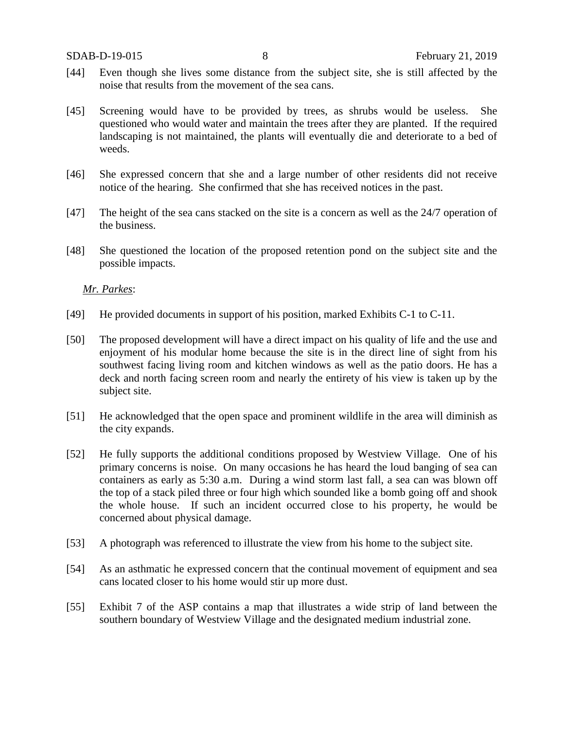- [44] Even though she lives some distance from the subject site, she is still affected by the noise that results from the movement of the sea cans.
- [45] Screening would have to be provided by trees, as shrubs would be useless. She questioned who would water and maintain the trees after they are planted. If the required landscaping is not maintained, the plants will eventually die and deteriorate to a bed of weeds.
- [46] She expressed concern that she and a large number of other residents did not receive notice of the hearing. She confirmed that she has received notices in the past.
- [47] The height of the sea cans stacked on the site is a concern as well as the 24/7 operation of the business.
- [48] She questioned the location of the proposed retention pond on the subject site and the possible impacts.

*Mr. Parkes*:

- [49] He provided documents in support of his position, marked Exhibits C-1 to C-11.
- [50] The proposed development will have a direct impact on his quality of life and the use and enjoyment of his modular home because the site is in the direct line of sight from his southwest facing living room and kitchen windows as well as the patio doors. He has a deck and north facing screen room and nearly the entirety of his view is taken up by the subject site.
- [51] He acknowledged that the open space and prominent wildlife in the area will diminish as the city expands.
- [52] He fully supports the additional conditions proposed by Westview Village. One of his primary concerns is noise. On many occasions he has heard the loud banging of sea can containers as early as 5:30 a.m. During a wind storm last fall, a sea can was blown off the top of a stack piled three or four high which sounded like a bomb going off and shook the whole house. If such an incident occurred close to his property, he would be concerned about physical damage.
- [53] A photograph was referenced to illustrate the view from his home to the subject site.
- [54] As an asthmatic he expressed concern that the continual movement of equipment and sea cans located closer to his home would stir up more dust.
- [55] Exhibit 7 of the ASP contains a map that illustrates a wide strip of land between the southern boundary of Westview Village and the designated medium industrial zone.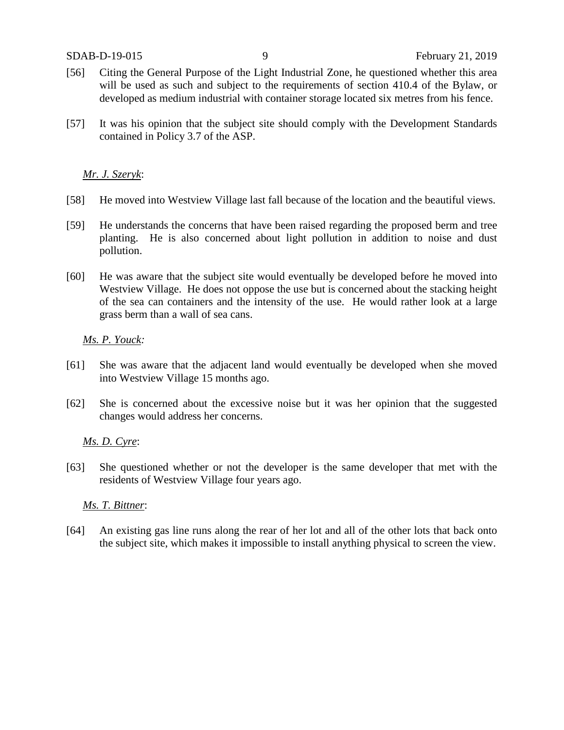- [56] Citing the General Purpose of the Light Industrial Zone, he questioned whether this area will be used as such and subject to the requirements of section 410.4 of the Bylaw, or developed as medium industrial with container storage located six metres from his fence.
- [57] It was his opinion that the subject site should comply with the Development Standards contained in Policy 3.7 of the ASP.

### *Mr. J. Szeryk*:

- [58] He moved into Westview Village last fall because of the location and the beautiful views.
- [59] He understands the concerns that have been raised regarding the proposed berm and tree planting. He is also concerned about light pollution in addition to noise and dust pollution.
- [60] He was aware that the subject site would eventually be developed before he moved into Westview Village. He does not oppose the use but is concerned about the stacking height of the sea can containers and the intensity of the use. He would rather look at a large grass berm than a wall of sea cans.

### *Ms. P. Youck:*

- [61] She was aware that the adjacent land would eventually be developed when she moved into Westview Village 15 months ago.
- [62] She is concerned about the excessive noise but it was her opinion that the suggested changes would address her concerns.

## *Ms. D. Cyre*:

[63] She questioned whether or not the developer is the same developer that met with the residents of Westview Village four years ago.

### *Ms. T. Bittner*:

[64] An existing gas line runs along the rear of her lot and all of the other lots that back onto the subject site, which makes it impossible to install anything physical to screen the view.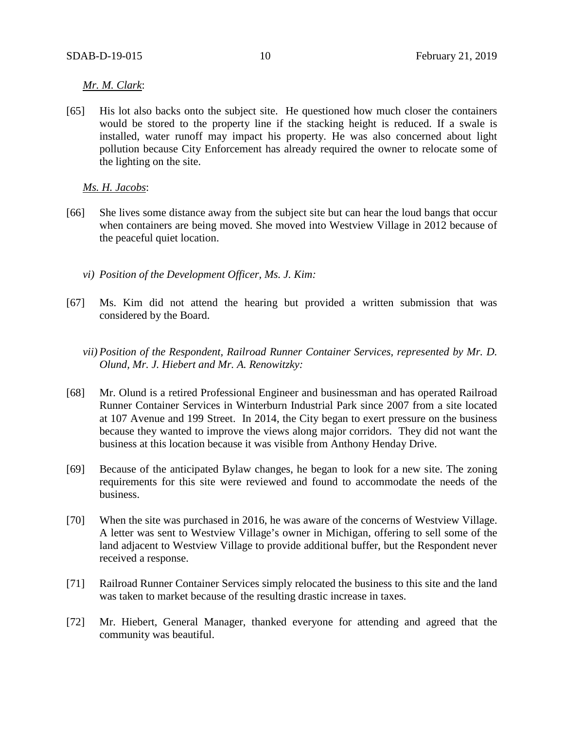## *Mr. M. Clark*:

[65] His lot also backs onto the subject site. He questioned how much closer the containers would be stored to the property line if the stacking height is reduced. If a swale is installed, water runoff may impact his property. He was also concerned about light pollution because City Enforcement has already required the owner to relocate some of the lighting on the site.

#### *Ms. H. Jacobs*:

- [66] She lives some distance away from the subject site but can hear the loud bangs that occur when containers are being moved. She moved into Westview Village in 2012 because of the peaceful quiet location.
	- *vi) Position of the Development Officer, Ms. J. Kim:*
- [67] Ms. Kim did not attend the hearing but provided a written submission that was considered by the Board.
	- *vii) Position of the Respondent, Railroad Runner Container Services, represented by Mr. D. Olund, Mr. J. Hiebert and Mr. A. Renowitzky:*
- [68] Mr. Olund is a retired Professional Engineer and businessman and has operated Railroad Runner Container Services in Winterburn Industrial Park since 2007 from a site located at 107 Avenue and 199 Street. In 2014, the City began to exert pressure on the business because they wanted to improve the views along major corridors. They did not want the business at this location because it was visible from Anthony Henday Drive.
- [69] Because of the anticipated Bylaw changes, he began to look for a new site. The zoning requirements for this site were reviewed and found to accommodate the needs of the business.
- [70] When the site was purchased in 2016, he was aware of the concerns of Westview Village. A letter was sent to Westview Village's owner in Michigan, offering to sell some of the land adjacent to Westview Village to provide additional buffer, but the Respondent never received a response.
- [71] Railroad Runner Container Services simply relocated the business to this site and the land was taken to market because of the resulting drastic increase in taxes.
- [72] Mr. Hiebert, General Manager, thanked everyone for attending and agreed that the community was beautiful.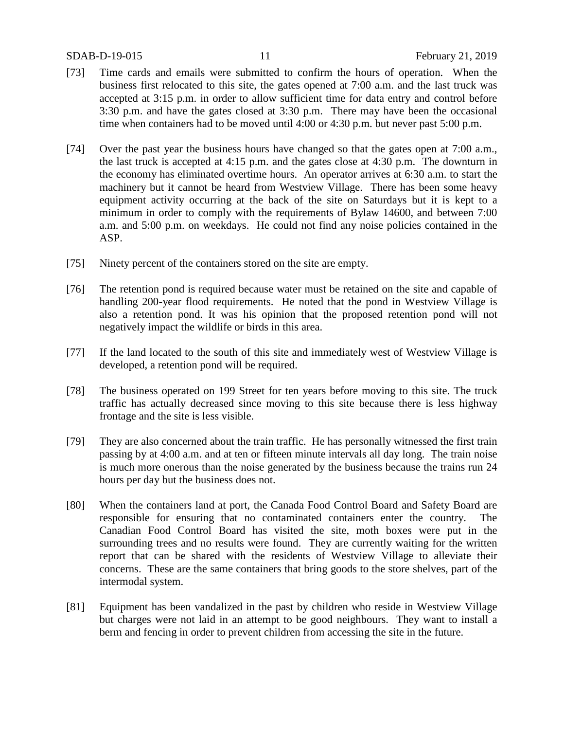- [73] Time cards and emails were submitted to confirm the hours of operation. When the business first relocated to this site, the gates opened at 7:00 a.m. and the last truck was accepted at 3:15 p.m. in order to allow sufficient time for data entry and control before 3:30 p.m. and have the gates closed at 3:30 p.m. There may have been the occasional time when containers had to be moved until 4:00 or 4:30 p.m. but never past 5:00 p.m.
- [74] Over the past year the business hours have changed so that the gates open at 7:00 a.m., the last truck is accepted at 4:15 p.m. and the gates close at 4:30 p.m. The downturn in the economy has eliminated overtime hours. An operator arrives at 6:30 a.m. to start the machinery but it cannot be heard from Westview Village. There has been some heavy equipment activity occurring at the back of the site on Saturdays but it is kept to a minimum in order to comply with the requirements of Bylaw 14600, and between 7:00 a.m. and 5:00 p.m. on weekdays. He could not find any noise policies contained in the ASP.
- [75] Ninety percent of the containers stored on the site are empty.
- [76] The retention pond is required because water must be retained on the site and capable of handling 200-year flood requirements. He noted that the pond in Westview Village is also a retention pond. It was his opinion that the proposed retention pond will not negatively impact the wildlife or birds in this area.
- [77] If the land located to the south of this site and immediately west of Westview Village is developed, a retention pond will be required.
- [78] The business operated on 199 Street for ten years before moving to this site. The truck traffic has actually decreased since moving to this site because there is less highway frontage and the site is less visible.
- [79] They are also concerned about the train traffic. He has personally witnessed the first train passing by at 4:00 a.m. and at ten or fifteen minute intervals all day long. The train noise is much more onerous than the noise generated by the business because the trains run 24 hours per day but the business does not.
- [80] When the containers land at port, the Canada Food Control Board and Safety Board are responsible for ensuring that no contaminated containers enter the country. The Canadian Food Control Board has visited the site, moth boxes were put in the surrounding trees and no results were found. They are currently waiting for the written report that can be shared with the residents of Westview Village to alleviate their concerns. These are the same containers that bring goods to the store shelves, part of the intermodal system.
- [81] Equipment has been vandalized in the past by children who reside in Westview Village but charges were not laid in an attempt to be good neighbours. They want to install a berm and fencing in order to prevent children from accessing the site in the future.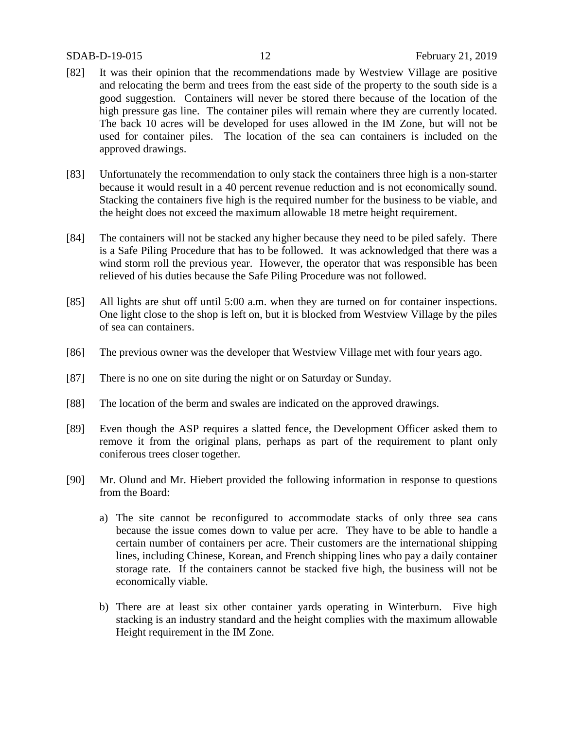- [82] It was their opinion that the recommendations made by Westview Village are positive and relocating the berm and trees from the east side of the property to the south side is a good suggestion. Containers will never be stored there because of the location of the high pressure gas line. The container piles will remain where they are currently located. The back 10 acres will be developed for uses allowed in the IM Zone, but will not be used for container piles. The location of the sea can containers is included on the approved drawings.
- [83] Unfortunately the recommendation to only stack the containers three high is a non-starter because it would result in a 40 percent revenue reduction and is not economically sound. Stacking the containers five high is the required number for the business to be viable, and the height does not exceed the maximum allowable 18 metre height requirement.
- [84] The containers will not be stacked any higher because they need to be piled safely. There is a Safe Piling Procedure that has to be followed. It was acknowledged that there was a wind storm roll the previous year. However, the operator that was responsible has been relieved of his duties because the Safe Piling Procedure was not followed.
- [85] All lights are shut off until 5:00 a.m. when they are turned on for container inspections. One light close to the shop is left on, but it is blocked from Westview Village by the piles of sea can containers.
- [86] The previous owner was the developer that Westview Village met with four years ago.
- [87] There is no one on site during the night or on Saturday or Sunday.
- [88] The location of the berm and swales are indicated on the approved drawings.
- [89] Even though the ASP requires a slatted fence, the Development Officer asked them to remove it from the original plans, perhaps as part of the requirement to plant only coniferous trees closer together.
- [90] Mr. Olund and Mr. Hiebert provided the following information in response to questions from the Board:
	- a) The site cannot be reconfigured to accommodate stacks of only three sea cans because the issue comes down to value per acre. They have to be able to handle a certain number of containers per acre. Their customers are the international shipping lines, including Chinese, Korean, and French shipping lines who pay a daily container storage rate. If the containers cannot be stacked five high, the business will not be economically viable.
	- b) There are at least six other container yards operating in Winterburn. Five high stacking is an industry standard and the height complies with the maximum allowable Height requirement in the IM Zone.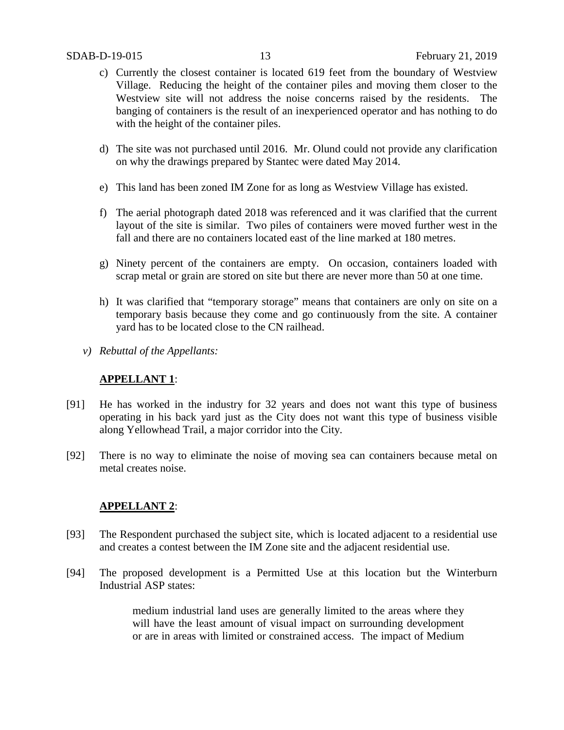- c) Currently the closest container is located 619 feet from the boundary of Westview Village. Reducing the height of the container piles and moving them closer to the Westview site will not address the noise concerns raised by the residents. The banging of containers is the result of an inexperienced operator and has nothing to do with the height of the container piles.
- d) The site was not purchased until 2016. Mr. Olund could not provide any clarification on why the drawings prepared by Stantec were dated May 2014.
- e) This land has been zoned IM Zone for as long as Westview Village has existed.
- f) The aerial photograph dated 2018 was referenced and it was clarified that the current layout of the site is similar. Two piles of containers were moved further west in the fall and there are no containers located east of the line marked at 180 metres.
- g) Ninety percent of the containers are empty. On occasion, containers loaded with scrap metal or grain are stored on site but there are never more than 50 at one time.
- h) It was clarified that "temporary storage" means that containers are only on site on a temporary basis because they come and go continuously from the site. A container yard has to be located close to the CN railhead.
- *v) Rebuttal of the Appellants:*

## **APPELLANT 1**:

- [91] He has worked in the industry for 32 years and does not want this type of business operating in his back yard just as the City does not want this type of business visible along Yellowhead Trail, a major corridor into the City.
- [92] There is no way to eliminate the noise of moving sea can containers because metal on metal creates noise.

## **APPELLANT 2**:

- [93] The Respondent purchased the subject site, which is located adjacent to a residential use and creates a contest between the IM Zone site and the adjacent residential use.
- [94] The proposed development is a Permitted Use at this location but the Winterburn Industrial ASP states:

medium industrial land uses are generally limited to the areas where they will have the least amount of visual impact on surrounding development or are in areas with limited or constrained access. The impact of Medium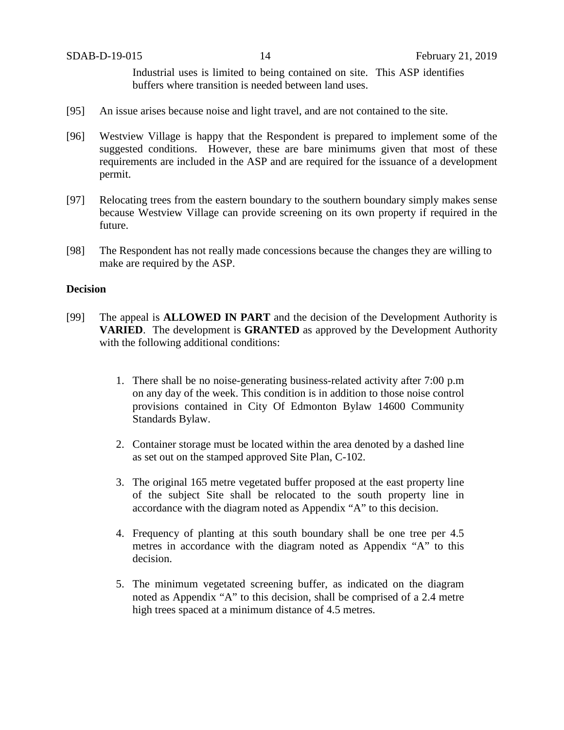Industrial uses is limited to being contained on site. This ASP identifies buffers where transition is needed between land uses.

- [95] An issue arises because noise and light travel, and are not contained to the site.
- [96] Westview Village is happy that the Respondent is prepared to implement some of the suggested conditions. However, these are bare minimums given that most of these requirements are included in the ASP and are required for the issuance of a development permit.
- [97] Relocating trees from the eastern boundary to the southern boundary simply makes sense because Westview Village can provide screening on its own property if required in the future.
- [98] The Respondent has not really made concessions because the changes they are willing to make are required by the ASP.

#### **Decision**

- [99] The appeal is **ALLOWED IN PART** and the decision of the Development Authority is **VARIED**. The development is **GRANTED** as approved by the Development Authority with the following additional conditions:
	- 1. There shall be no noise-generating business-related activity after 7:00 p.m on any day of the week. This condition is in addition to those noise control provisions contained in City Of Edmonton Bylaw 14600 Community Standards Bylaw.
	- 2. Container storage must be located within the area denoted by a dashed line as set out on the stamped approved Site Plan, C-102.
	- 3. The original 165 metre vegetated buffer proposed at the east property line of the subject Site shall be relocated to the south property line in accordance with the diagram noted as Appendix "A" to this decision.
	- 4. Frequency of planting at this south boundary shall be one tree per 4.5 metres in accordance with the diagram noted as Appendix "A" to this decision.
	- 5. The minimum vegetated screening buffer, as indicated on the diagram noted as Appendix "A" to this decision, shall be comprised of a 2.4 metre high trees spaced at a minimum distance of 4.5 metres.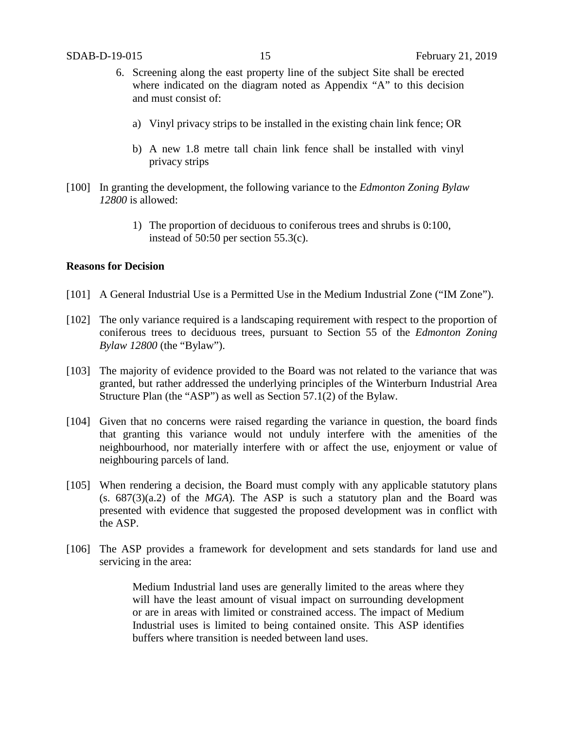- 6. Screening along the east property line of the subject Site shall be erected where indicated on the diagram noted as Appendix "A" to this decision and must consist of:
	- a) Vinyl privacy strips to be installed in the existing chain link fence; OR
	- b) A new 1.8 metre tall chain link fence shall be installed with vinyl privacy strips
- [100] In granting the development, the following variance to the *Edmonton Zoning Bylaw 12800* is allowed:
	- 1) The proportion of deciduous to coniferous trees and shrubs is 0:100, instead of 50:50 per section 55.3(c).

#### **Reasons for Decision**

- [101] A General Industrial Use is a Permitted Use in the Medium Industrial Zone ("IM Zone").
- [102] The only variance required is a landscaping requirement with respect to the proportion of coniferous trees to deciduous trees, pursuant to Section 55 of the *Edmonton Zoning Bylaw 12800* (the "Bylaw").
- [103] The majority of evidence provided to the Board was not related to the variance that was granted, but rather addressed the underlying principles of the Winterburn Industrial Area Structure Plan (the "ASP") as well as Section 57.1(2) of the Bylaw.
- [104] Given that no concerns were raised regarding the variance in question, the board finds that granting this variance would not unduly interfere with the amenities of the neighbourhood, nor materially interfere with or affect the use, enjoyment or value of neighbouring parcels of land.
- [105] When rendering a decision, the Board must comply with any applicable statutory plans  $(s. 687(3)(a.2)$  of the *MGA*). The ASP is such a statutory plan and the Board was presented with evidence that suggested the proposed development was in conflict with the ASP.
- [106] The ASP provides a framework for development and sets standards for land use and servicing in the area:

Medium Industrial land uses are generally limited to the areas where they will have the least amount of visual impact on surrounding development or are in areas with limited or constrained access. The impact of Medium Industrial uses is limited to being contained onsite. This ASP identifies buffers where transition is needed between land uses.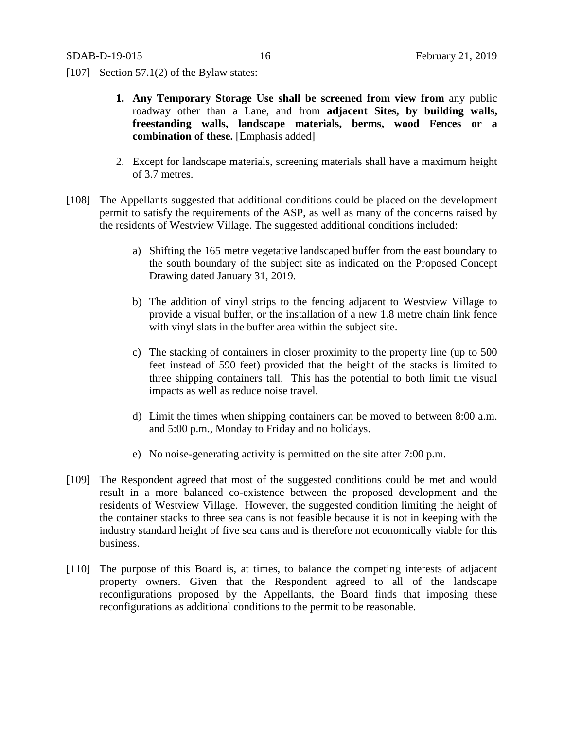[107] Section 57.1(2) of the Bylaw states:

- **1. Any Temporary Storage Use shall be screened from view from** any public roadway other than a Lane, and from **adjacent Sites, by building walls, freestanding walls, landscape materials, berms, wood Fences or a combination of these.** [Emphasis added]
- 2. Except for landscape materials, screening materials shall have a maximum height of 3.7 metres.
- [108] The Appellants suggested that additional conditions could be placed on the development permit to satisfy the requirements of the ASP, as well as many of the concerns raised by the residents of Westview Village. The suggested additional conditions included:
	- a) Shifting the 165 metre vegetative landscaped buffer from the east boundary to the south boundary of the subject site as indicated on the Proposed Concept Drawing dated January 31, 2019.
	- b) The addition of vinyl strips to the fencing adjacent to Westview Village to provide a visual buffer, or the installation of a new 1.8 metre chain link fence with vinyl slats in the buffer area within the subject site.
	- c) The stacking of containers in closer proximity to the property line (up to 500 feet instead of 590 feet) provided that the height of the stacks is limited to three shipping containers tall. This has the potential to both limit the visual impacts as well as reduce noise travel.
	- d) Limit the times when shipping containers can be moved to between 8:00 a.m. and 5:00 p.m., Monday to Friday and no holidays.
	- e) No noise-generating activity is permitted on the site after 7:00 p.m.
- [109] The Respondent agreed that most of the suggested conditions could be met and would result in a more balanced co-existence between the proposed development and the residents of Westview Village. However, the suggested condition limiting the height of the container stacks to three sea cans is not feasible because it is not in keeping with the industry standard height of five sea cans and is therefore not economically viable for this business.
- [110] The purpose of this Board is, at times, to balance the competing interests of adjacent property owners. Given that the Respondent agreed to all of the landscape reconfigurations proposed by the Appellants, the Board finds that imposing these reconfigurations as additional conditions to the permit to be reasonable.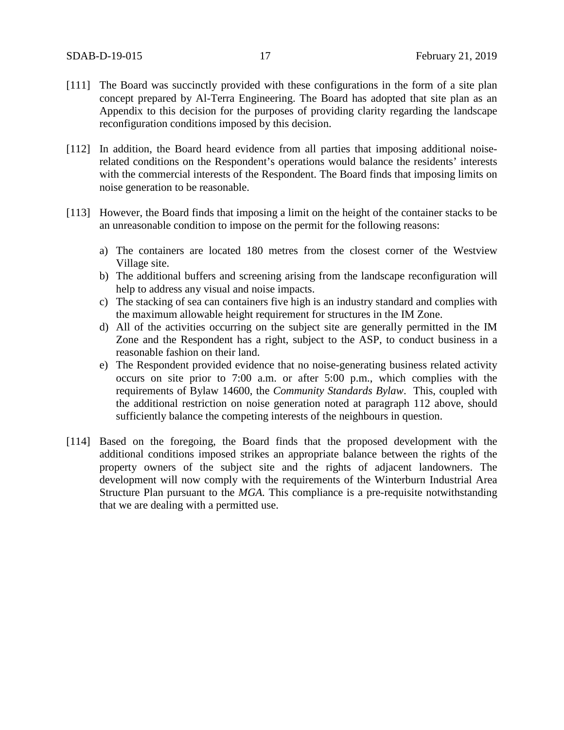- [111] The Board was succinctly provided with these configurations in the form of a site plan concept prepared by Al-Terra Engineering. The Board has adopted that site plan as an Appendix to this decision for the purposes of providing clarity regarding the landscape reconfiguration conditions imposed by this decision.
- [112] In addition, the Board heard evidence from all parties that imposing additional noiserelated conditions on the Respondent's operations would balance the residents' interests with the commercial interests of the Respondent. The Board finds that imposing limits on noise generation to be reasonable.
- [113] However, the Board finds that imposing a limit on the height of the container stacks to be an unreasonable condition to impose on the permit for the following reasons:
	- a) The containers are located 180 metres from the closest corner of the Westview Village site.
	- b) The additional buffers and screening arising from the landscape reconfiguration will help to address any visual and noise impacts.
	- c) The stacking of sea can containers five high is an industry standard and complies with the maximum allowable height requirement for structures in the IM Zone.
	- d) All of the activities occurring on the subject site are generally permitted in the IM Zone and the Respondent has a right, subject to the ASP, to conduct business in a reasonable fashion on their land.
	- e) The Respondent provided evidence that no noise-generating business related activity occurs on site prior to 7:00 a.m. or after 5:00 p.m., which complies with the requirements of Bylaw 14600, the *Community Standards Bylaw*. This, coupled with the additional restriction on noise generation noted at paragraph 112 above, should sufficiently balance the competing interests of the neighbours in question.
- [114] Based on the foregoing, the Board finds that the proposed development with the additional conditions imposed strikes an appropriate balance between the rights of the property owners of the subject site and the rights of adjacent landowners. The development will now comply with the requirements of the Winterburn Industrial Area Structure Plan pursuant to the *MGA.* This compliance is a pre-requisite notwithstanding that we are dealing with a permitted use.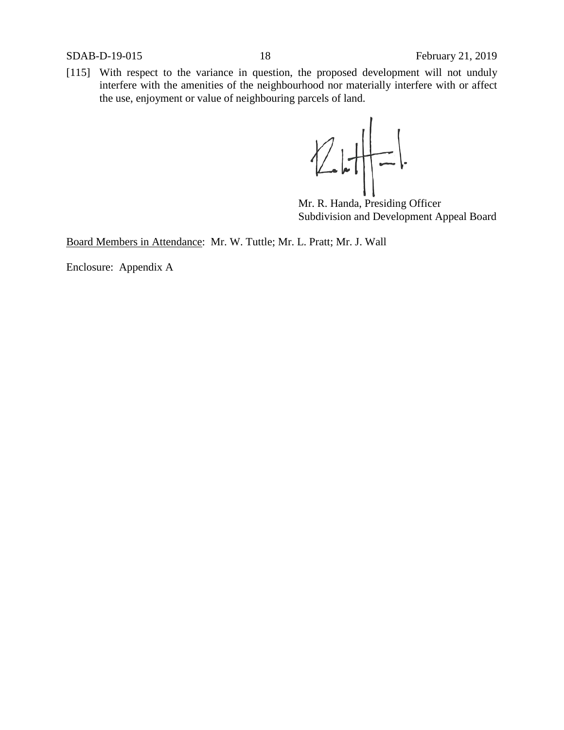[115] With respect to the variance in question, the proposed development will not unduly interfere with the amenities of the neighbourhood nor materially interfere with or affect the use, enjoyment or value of neighbouring parcels of land.

 $247-1$ 

Mr. R. Handa, Presiding Officer Subdivision and Development Appeal Board

Board Members in Attendance: Mr. W. Tuttle; Mr. L. Pratt; Mr. J. Wall

Enclosure: Appendix A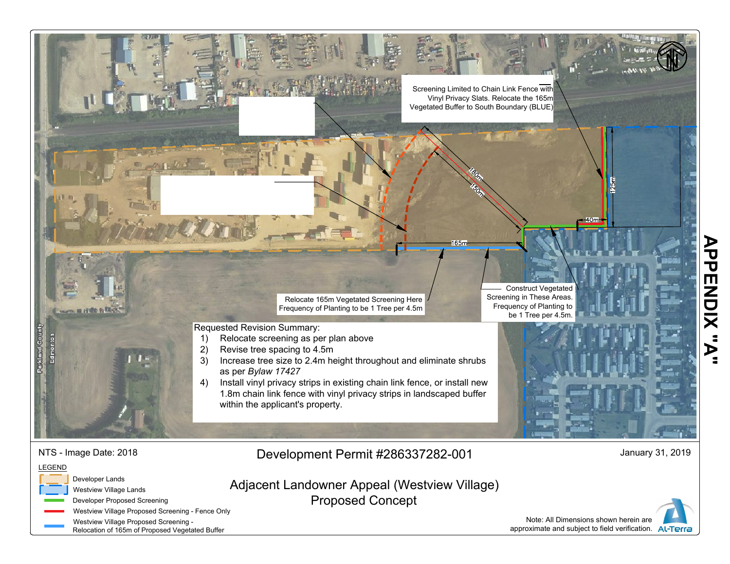

Note: All Dimensions shown herein are